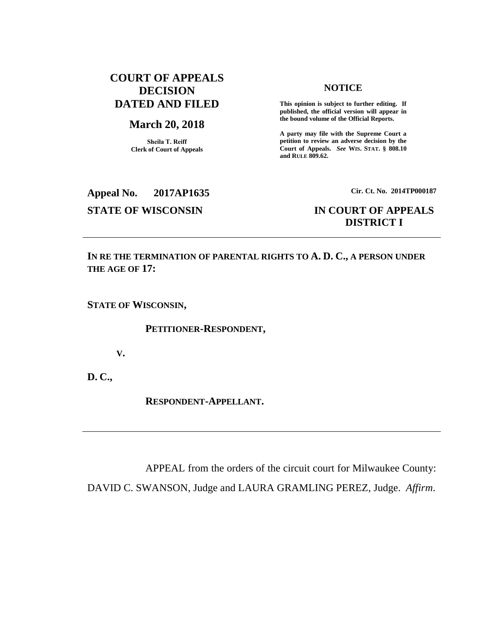## **COURT OF APPEALS DECISION DATED AND FILED**

#### **March 20, 2018**

**Sheila T. Reiff Clerk of Court of Appeals**

#### **NOTICE**

**This opinion is subject to further editing. If published, the official version will appear in the bound volume of the Official Reports.** 

**A party may file with the Supreme Court a petition to review an adverse decision by the Court of Appeals.** *See* **WIS. STAT. § 808.10 and RULE 809.62.** 

## **Appeal No. 2017AP1635 Cir. Ct. No. 2014TP000187 STATE OF WISCONSIN IN COURT OF APPEALS**

# **DISTRICT I**

**IN RE THE TERMINATION OF PARENTAL RIGHTS TO A. D. C., A PERSON UNDER THE AGE OF 17:**

**STATE OF WISCONSIN,**

**PETITIONER-RESPONDENT,**

**V.**

**D. C.,**

**RESPONDENT-APPELLANT.**

APPEAL from the orders of the circuit court for Milwaukee County: DAVID C. SWANSON, Judge and LAURA GRAMLING PEREZ, Judge. *Affirm*.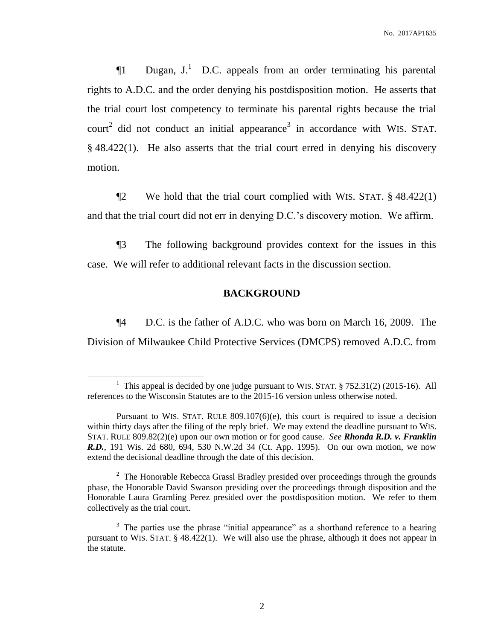$\P1$  Dugan, J.<sup>1</sup> D.C. appeals from an order terminating his parental rights to A.D.C. and the order denying his postdisposition motion. He asserts that the trial court lost competency to terminate his parental rights because the trial court<sup>2</sup> did not conduct an initial appearance<sup>3</sup> in accordance with WIS. STAT. § 48.422(1). He also asserts that the trial court erred in denying his discovery motion.

¶2 We hold that the trial court complied with WIS. STAT. § 48.422(1) and that the trial court did not err in denying D.C.'s discovery motion. We affirm.

¶3 The following background provides context for the issues in this case. We will refer to additional relevant facts in the discussion section.

## **BACKGROUND**

¶4 D.C. is the father of A.D.C. who was born on March 16, 2009. The Division of Milwaukee Child Protective Services (DMCPS) removed A.D.C. from

 $\overline{a}$ 

 $2^2$  The Honorable Rebecca Grassl Bradley presided over proceedings through the grounds phase, the Honorable David Swanson presiding over the proceedings through disposition and the Honorable Laura Gramling Perez presided over the postdisposition motion. We refer to them collectively as the trial court.

<sup>&</sup>lt;sup>1</sup> This appeal is decided by one judge pursuant to WIS. STAT.  $\S$  752.31(2) (2015-16). All references to the Wisconsin Statutes are to the 2015-16 version unless otherwise noted.

Pursuant to WIS. STAT. RULE 809.107(6)(e), this court is required to issue a decision within thirty days after the filing of the reply brief. We may extend the deadline pursuant to WIS. STAT. RULE 809.82(2)(e) upon our own motion or for good cause. *See Rhonda R.D. v. Franklin R.D.*, 191 Wis. 2d 680, 694, 530 N.W.2d 34 (Ct. App. 1995). On our own motion, we now extend the decisional deadline through the date of this decision.

<sup>&</sup>lt;sup>3</sup> The parties use the phrase "initial appearance" as a shorthand reference to a hearing pursuant to WIS. STAT. § 48.422(1). We will also use the phrase, although it does not appear in the statute.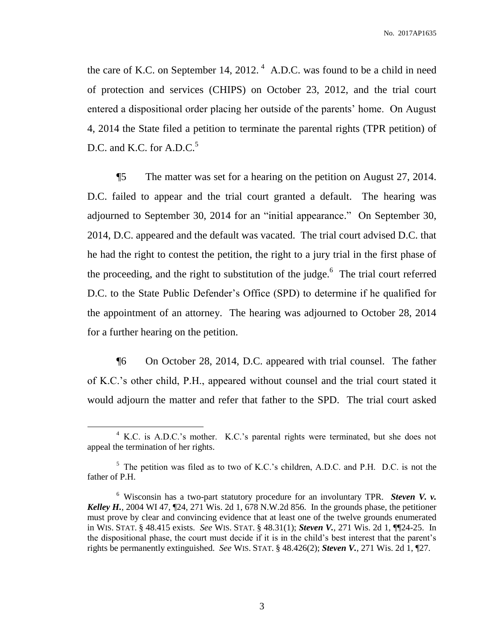the care of K.C. on September 14, 2012.<sup>4</sup> A.D.C. was found to be a child in need of protection and services (CHIPS) on October 23, 2012, and the trial court entered a dispositional order placing her outside of the parents' home. On August 4, 2014 the State filed a petition to terminate the parental rights (TPR petition) of D.C. and K.C. for  $A.D.C.<sup>5</sup>$ 

¶5 The matter was set for a hearing on the petition on August 27, 2014. D.C. failed to appear and the trial court granted a default. The hearing was adjourned to September 30, 2014 for an "initial appearance." On September 30, 2014, D.C. appeared and the default was vacated. The trial court advised D.C. that he had the right to contest the petition, the right to a jury trial in the first phase of the proceeding, and the right to substitution of the judge. $6$  The trial court referred D.C. to the State Public Defender's Office (SPD) to determine if he qualified for the appointment of an attorney. The hearing was adjourned to October 28, 2014 for a further hearing on the petition.

¶6 On October 28, 2014, D.C. appeared with trial counsel. The father of K.C.'s other child, P.H., appeared without counsel and the trial court stated it would adjourn the matter and refer that father to the SPD. The trial court asked

<sup>&</sup>lt;sup>4</sup> K.C. is A.D.C.'s mother. K.C.'s parental rights were terminated, but she does not appeal the termination of her rights.

<sup>&</sup>lt;sup>5</sup> The petition was filed as to two of K.C.'s children, A.D.C. and P.H. D.C. is not the father of P.H.

<sup>6</sup> Wisconsin has a two-part statutory procedure for an involuntary TPR. *Steven V. v. Kelley H.*, 2004 WI 47, ¶24, 271 Wis. 2d 1, 678 N.W.2d 856. In the grounds phase, the petitioner must prove by clear and convincing evidence that at least one of the twelve grounds enumerated in WIS. STAT. § 48.415 exists. *See* WIS. STAT. § 48.31(1); *Steven V.*, 271 Wis. 2d 1, ¶¶24-25. In the dispositional phase, the court must decide if it is in the child's best interest that the parent's rights be permanently extinguished. *See* WIS. STAT. § 48.426(2); *Steven V.*, 271 Wis. 2d 1, ¶27.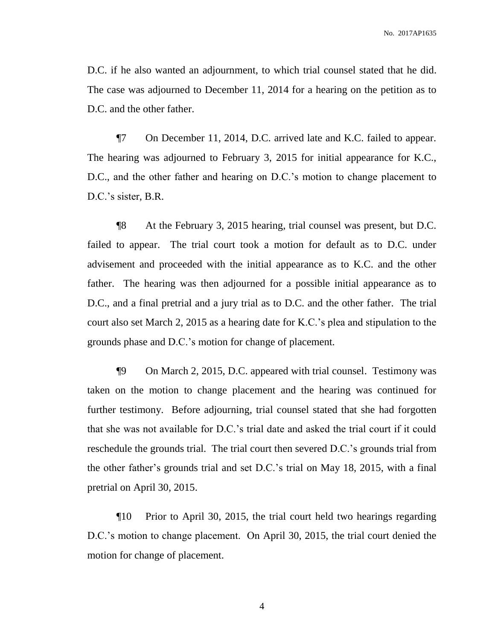D.C. if he also wanted an adjournment, to which trial counsel stated that he did. The case was adjourned to December 11, 2014 for a hearing on the petition as to D.C. and the other father.

¶7 On December 11, 2014, D.C. arrived late and K.C. failed to appear. The hearing was adjourned to February 3, 2015 for initial appearance for K.C., D.C., and the other father and hearing on D.C.'s motion to change placement to D.C.'s sister, B.R.

¶8 At the February 3, 2015 hearing, trial counsel was present, but D.C. failed to appear. The trial court took a motion for default as to D.C. under advisement and proceeded with the initial appearance as to K.C. and the other father. The hearing was then adjourned for a possible initial appearance as to D.C., and a final pretrial and a jury trial as to D.C. and the other father. The trial court also set March 2, 2015 as a hearing date for K.C.'s plea and stipulation to the grounds phase and D.C.'s motion for change of placement.

¶9 On March 2, 2015, D.C. appeared with trial counsel. Testimony was taken on the motion to change placement and the hearing was continued for further testimony. Before adjourning, trial counsel stated that she had forgotten that she was not available for D.C.'s trial date and asked the trial court if it could reschedule the grounds trial. The trial court then severed D.C.'s grounds trial from the other father's grounds trial and set D.C.'s trial on May 18, 2015, with a final pretrial on April 30, 2015.

¶10 Prior to April 30, 2015, the trial court held two hearings regarding D.C.'s motion to change placement. On April 30, 2015, the trial court denied the motion for change of placement.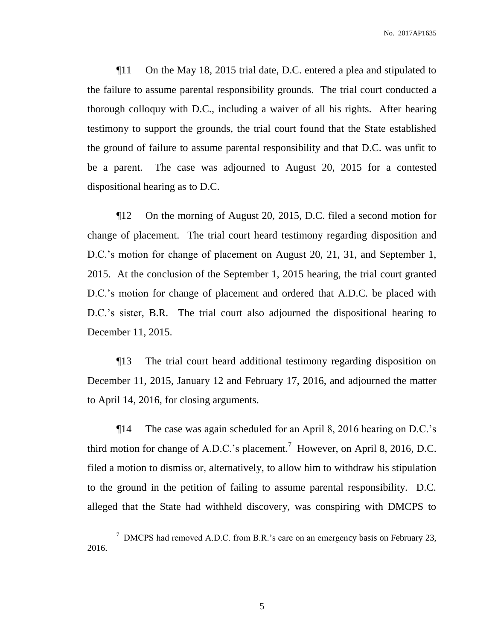¶11 On the May 18, 2015 trial date, D.C. entered a plea and stipulated to the failure to assume parental responsibility grounds. The trial court conducted a thorough colloquy with D.C., including a waiver of all his rights. After hearing testimony to support the grounds, the trial court found that the State established the ground of failure to assume parental responsibility and that D.C. was unfit to be a parent. The case was adjourned to August 20, 2015 for a contested dispositional hearing as to D.C.

¶12 On the morning of August 20, 2015, D.C. filed a second motion for change of placement. The trial court heard testimony regarding disposition and D.C.'s motion for change of placement on August 20, 21, 31, and September 1, 2015. At the conclusion of the September 1, 2015 hearing, the trial court granted D.C.'s motion for change of placement and ordered that A.D.C. be placed with D.C.'s sister, B.R. The trial court also adjourned the dispositional hearing to December 11, 2015.

¶13 The trial court heard additional testimony regarding disposition on December 11, 2015, January 12 and February 17, 2016, and adjourned the matter to April 14, 2016, for closing arguments.

¶14 The case was again scheduled for an April 8, 2016 hearing on D.C.'s third motion for change of A.D.C.'s placement.<sup>7</sup> However, on April 8, 2016, D.C. filed a motion to dismiss or, alternatively, to allow him to withdraw his stipulation to the ground in the petition of failing to assume parental responsibility. D.C. alleged that the State had withheld discovery, was conspiring with DMCPS to

<sup>&</sup>lt;sup>7</sup> DMCPS had removed A.D.C. from B.R.'s care on an emergency basis on February 23, 2016.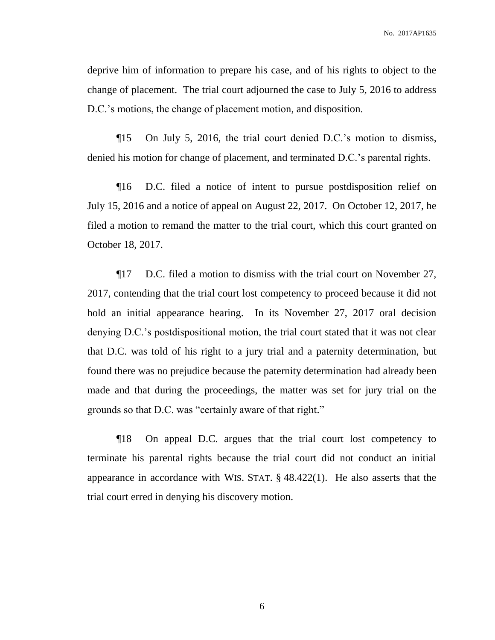deprive him of information to prepare his case, and of his rights to object to the change of placement. The trial court adjourned the case to July 5, 2016 to address D.C.'s motions, the change of placement motion, and disposition.

¶15 On July 5, 2016, the trial court denied D.C.'s motion to dismiss, denied his motion for change of placement, and terminated D.C.'s parental rights.

¶16 D.C. filed a notice of intent to pursue postdisposition relief on July 15, 2016 and a notice of appeal on August 22, 2017. On October 12, 2017, he filed a motion to remand the matter to the trial court, which this court granted on October 18, 2017.

¶17 D.C. filed a motion to dismiss with the trial court on November 27, 2017, contending that the trial court lost competency to proceed because it did not hold an initial appearance hearing. In its November 27, 2017 oral decision denying D.C.'s postdispositional motion, the trial court stated that it was not clear that D.C. was told of his right to a jury trial and a paternity determination, but found there was no prejudice because the paternity determination had already been made and that during the proceedings, the matter was set for jury trial on the grounds so that D.C. was "certainly aware of that right."

¶18 On appeal D.C. argues that the trial court lost competency to terminate his parental rights because the trial court did not conduct an initial appearance in accordance with WIS. STAT. § 48.422(1). He also asserts that the trial court erred in denying his discovery motion.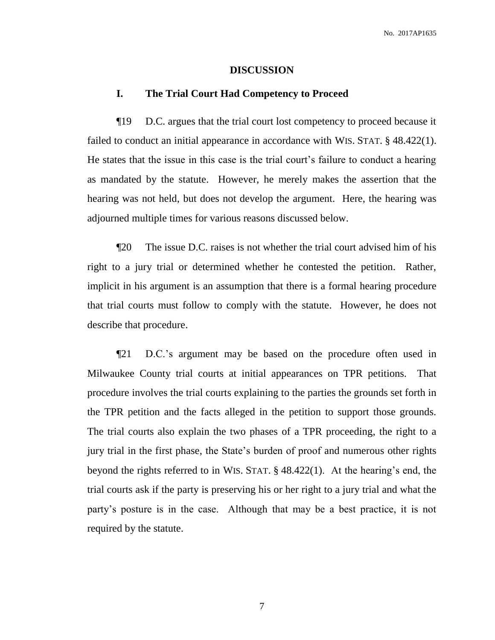#### **DISCUSSION**

### **I. The Trial Court Had Competency to Proceed**

¶19 D.C. argues that the trial court lost competency to proceed because it failed to conduct an initial appearance in accordance with WIS. STAT. § 48.422(1). He states that the issue in this case is the trial court's failure to conduct a hearing as mandated by the statute. However, he merely makes the assertion that the hearing was not held, but does not develop the argument. Here, the hearing was adjourned multiple times for various reasons discussed below.

¶20 The issue D.C. raises is not whether the trial court advised him of his right to a jury trial or determined whether he contested the petition. Rather, implicit in his argument is an assumption that there is a formal hearing procedure that trial courts must follow to comply with the statute. However, he does not describe that procedure.

¶21 D.C.'s argument may be based on the procedure often used in Milwaukee County trial courts at initial appearances on TPR petitions. That procedure involves the trial courts explaining to the parties the grounds set forth in the TPR petition and the facts alleged in the petition to support those grounds. The trial courts also explain the two phases of a TPR proceeding, the right to a jury trial in the first phase, the State's burden of proof and numerous other rights beyond the rights referred to in WIS. STAT. § 48.422(1). At the hearing's end, the trial courts ask if the party is preserving his or her right to a jury trial and what the party's posture is in the case. Although that may be a best practice, it is not required by the statute.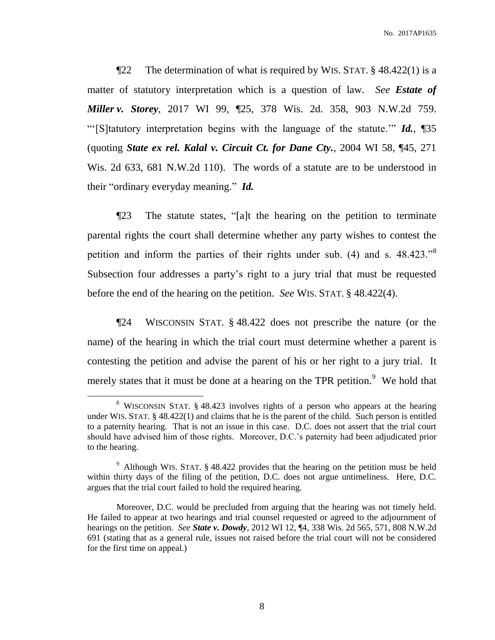¶22 The determination of what is required by WIS. STAT. § 48.422(1) is a matter of statutory interpretation which is a question of law. *See Estate of Miller v. Storey*, 2017 WI 99, ¶25, 378 Wis. 2d. 358, 903 N.W.2d 759. "'[S]tatutory interpretation begins with the language of the statute.'" *Id.*, ¶35 (quoting *State ex rel. Kalal v. Circuit Ct. for Dane Cty.*, 2004 WI 58, ¶45, 271 Wis. 2d 633, 681 N.W.2d 110). The words of a statute are to be understood in their "ordinary everyday meaning." *Id.*

¶23 The statute states, "[a]t the hearing on the petition to terminate parental rights the court shall determine whether any party wishes to contest the petition and inform the parties of their rights under sub. (4) and s. 48.423."<sup>8</sup> Subsection four addresses a party's right to a jury trial that must be requested before the end of the hearing on the petition. *See* WIS. STAT. § 48.422(4).

¶24 WISCONSIN STAT. § 48.422 does not prescribe the nature (or the name) of the hearing in which the trial court must determine whether a parent is contesting the petition and advise the parent of his or her right to a jury trial. It merely states that it must be done at a hearing on the TPR petition.<sup>9</sup> We hold that

<sup>&</sup>lt;sup>8</sup> WISCONSIN STAT. § 48.423 involves rights of a person who appears at the hearing under WIS. STAT.  $\S$  48.422(1) and claims that he is the parent of the child. Such person is entitled to a paternity hearing. That is not an issue in this case. D.C. does not assert that the trial court should have advised him of those rights. Moreover, D.C.'s paternity had been adjudicated prior to the hearing.

<sup>&</sup>lt;sup>9</sup> Although WIS. STAT. § 48.422 provides that the hearing on the petition must be held within thirty days of the filing of the petition, D.C. does not argue untimeliness. Here, D.C. argues that the trial court failed to hold the required hearing.

Moreover, D.C. would be precluded from arguing that the hearing was not timely held. He failed to appear at two hearings and trial counsel requested or agreed to the adjournment of hearings on the petition. *See State v. Dowdy*, 2012 WI 12, ¶4, 338 Wis. 2d 565, 571, 808 N.W.2d 691 (stating that as a general rule, issues not raised before the trial court will not be considered for the first time on appeal.)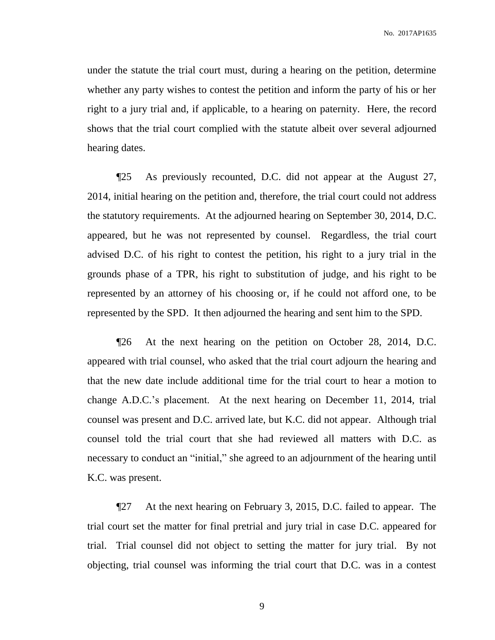under the statute the trial court must, during a hearing on the petition, determine whether any party wishes to contest the petition and inform the party of his or her right to a jury trial and, if applicable, to a hearing on paternity. Here, the record shows that the trial court complied with the statute albeit over several adjourned hearing dates.

¶25 As previously recounted, D.C. did not appear at the August 27, 2014, initial hearing on the petition and, therefore, the trial court could not address the statutory requirements. At the adjourned hearing on September 30, 2014, D.C. appeared, but he was not represented by counsel. Regardless, the trial court advised D.C. of his right to contest the petition, his right to a jury trial in the grounds phase of a TPR, his right to substitution of judge, and his right to be represented by an attorney of his choosing or, if he could not afford one, to be represented by the SPD. It then adjourned the hearing and sent him to the SPD.

¶26 At the next hearing on the petition on October 28, 2014, D.C. appeared with trial counsel, who asked that the trial court adjourn the hearing and that the new date include additional time for the trial court to hear a motion to change A.D.C.'s placement. At the next hearing on December 11, 2014, trial counsel was present and D.C. arrived late, but K.C. did not appear. Although trial counsel told the trial court that she had reviewed all matters with D.C. as necessary to conduct an "initial," she agreed to an adjournment of the hearing until K.C. was present.

¶27 At the next hearing on February 3, 2015, D.C. failed to appear. The trial court set the matter for final pretrial and jury trial in case D.C. appeared for trial. Trial counsel did not object to setting the matter for jury trial. By not objecting, trial counsel was informing the trial court that D.C. was in a contest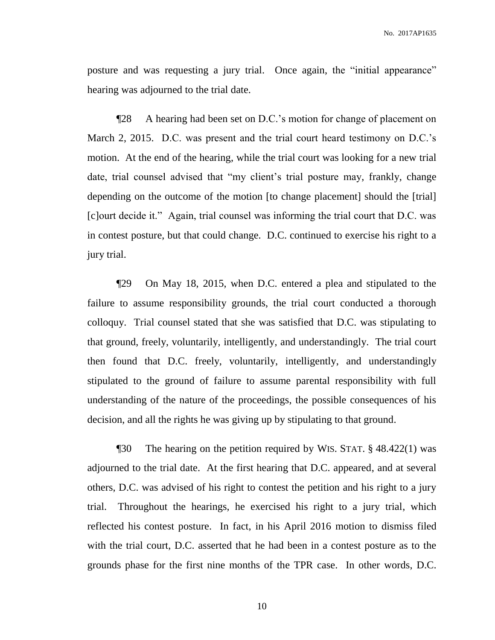posture and was requesting a jury trial. Once again, the "initial appearance" hearing was adjourned to the trial date.

¶28 A hearing had been set on D.C.'s motion for change of placement on March 2, 2015. D.C. was present and the trial court heard testimony on D.C.'s motion. At the end of the hearing, while the trial court was looking for a new trial date, trial counsel advised that "my client's trial posture may, frankly, change depending on the outcome of the motion [to change placement] should the [trial] [c]ourt decide it." Again, trial counsel was informing the trial court that D.C. was in contest posture, but that could change. D.C. continued to exercise his right to a jury trial.

¶29 On May 18, 2015, when D.C. entered a plea and stipulated to the failure to assume responsibility grounds, the trial court conducted a thorough colloquy. Trial counsel stated that she was satisfied that D.C. was stipulating to that ground, freely, voluntarily, intelligently, and understandingly. The trial court then found that D.C. freely, voluntarily, intelligently, and understandingly stipulated to the ground of failure to assume parental responsibility with full understanding of the nature of the proceedings, the possible consequences of his decision, and all the rights he was giving up by stipulating to that ground.

¶30 The hearing on the petition required by WIS. STAT. § 48.422(1) was adjourned to the trial date. At the first hearing that D.C. appeared, and at several others, D.C. was advised of his right to contest the petition and his right to a jury trial. Throughout the hearings, he exercised his right to a jury trial, which reflected his contest posture. In fact, in his April 2016 motion to dismiss filed with the trial court, D.C. asserted that he had been in a contest posture as to the grounds phase for the first nine months of the TPR case. In other words, D.C.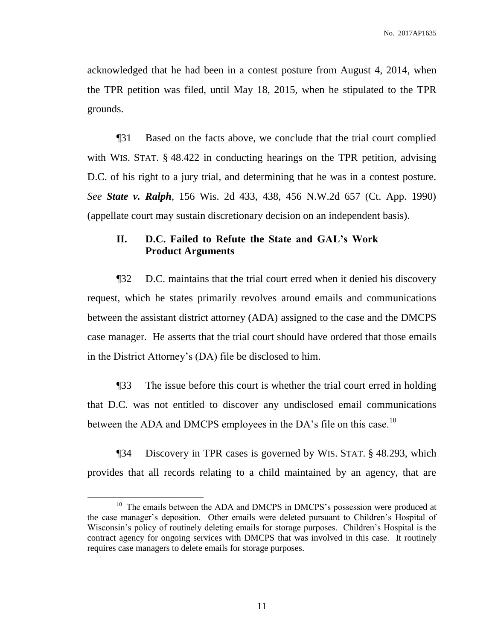acknowledged that he had been in a contest posture from August 4, 2014, when the TPR petition was filed, until May 18, 2015, when he stipulated to the TPR grounds.

¶31 Based on the facts above, we conclude that the trial court complied with WIS. STAT. § 48.422 in conducting hearings on the TPR petition, advising D.C. of his right to a jury trial, and determining that he was in a contest posture. *See State v. Ralph*, 156 Wis. 2d 433, 438, 456 N.W.2d 657 (Ct. App. 1990) (appellate court may sustain discretionary decision on an independent basis).

## **II. D.C. Failed to Refute the State and GAL's Work Product Arguments**

¶32 D.C. maintains that the trial court erred when it denied his discovery request, which he states primarily revolves around emails and communications between the assistant district attorney (ADA) assigned to the case and the DMCPS case manager. He asserts that the trial court should have ordered that those emails in the District Attorney's (DA) file be disclosed to him.

¶33 The issue before this court is whether the trial court erred in holding that D.C. was not entitled to discover any undisclosed email communications between the ADA and DMCPS employees in the DA's file on this case.<sup>10</sup>

¶34 Discovery in TPR cases is governed by WIS. STAT. § 48.293, which provides that all records relating to a child maintained by an agency, that are

<sup>&</sup>lt;sup>10</sup> The emails between the ADA and DMCPS in DMCPS's possession were produced at the case manager's deposition. Other emails were deleted pursuant to Children's Hospital of Wisconsin's policy of routinely deleting emails for storage purposes. Children's Hospital is the contract agency for ongoing services with DMCPS that was involved in this case. It routinely requires case managers to delete emails for storage purposes.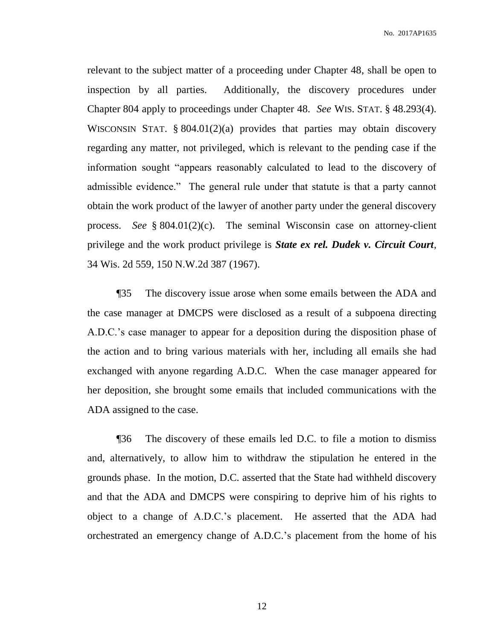relevant to the subject matter of a proceeding under Chapter 48, shall be open to inspection by all parties. Additionally, the discovery procedures under Chapter 804 apply to proceedings under Chapter 48. *See* WIS. STAT. § 48.293(4). WISCONSIN STAT. § 804.01(2)(a) provides that parties may obtain discovery regarding any matter, not privileged, which is relevant to the pending case if the information sought "appears reasonably calculated to lead to the discovery of admissible evidence." The general rule under that statute is that a party cannot obtain the work product of the lawyer of another party under the general discovery process. *See* § 804.01(2)(c). The seminal Wisconsin case on attorney-client privilege and the work product privilege is *State ex rel. Dudek v. Circuit Court*, 34 Wis. 2d 559, 150 N.W.2d 387 (1967).

¶35 The discovery issue arose when some emails between the ADA and the case manager at DMCPS were disclosed as a result of a subpoena directing A.D.C.'s case manager to appear for a deposition during the disposition phase of the action and to bring various materials with her, including all emails she had exchanged with anyone regarding A.D.C. When the case manager appeared for her deposition, she brought some emails that included communications with the ADA assigned to the case.

¶36 The discovery of these emails led D.C. to file a motion to dismiss and, alternatively, to allow him to withdraw the stipulation he entered in the grounds phase. In the motion, D.C. asserted that the State had withheld discovery and that the ADA and DMCPS were conspiring to deprive him of his rights to object to a change of A.D.C.'s placement. He asserted that the ADA had orchestrated an emergency change of A.D.C.'s placement from the home of his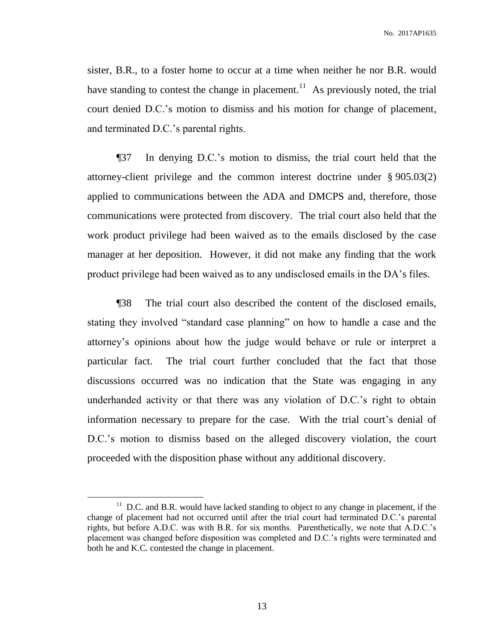sister, B.R., to a foster home to occur at a time when neither he nor B.R. would have standing to contest the change in placement.<sup>11</sup> As previously noted, the trial court denied D.C.'s motion to dismiss and his motion for change of placement, and terminated D.C.'s parental rights.

¶37 In denying D.C.'s motion to dismiss, the trial court held that the attorney-client privilege and the common interest doctrine under § 905.03(2) applied to communications between the ADA and DMCPS and, therefore, those communications were protected from discovery. The trial court also held that the work product privilege had been waived as to the emails disclosed by the case manager at her deposition. However, it did not make any finding that the work product privilege had been waived as to any undisclosed emails in the DA's files.

¶38 The trial court also described the content of the disclosed emails, stating they involved "standard case planning" on how to handle a case and the attorney's opinions about how the judge would behave or rule or interpret a particular fact. The trial court further concluded that the fact that those discussions occurred was no indication that the State was engaging in any underhanded activity or that there was any violation of D.C.'s right to obtain information necessary to prepare for the case. With the trial court's denial of D.C.'s motion to dismiss based on the alleged discovery violation, the court proceeded with the disposition phase without any additional discovery.

 $11$  D.C. and B.R. would have lacked standing to object to any change in placement, if the change of placement had not occurred until after the trial court had terminated D.C.'s parental rights, but before A.D.C. was with B.R. for six months. Parenthetically, we note that A.D.C.'s placement was changed before disposition was completed and D.C.'s rights were terminated and both he and K.C. contested the change in placement.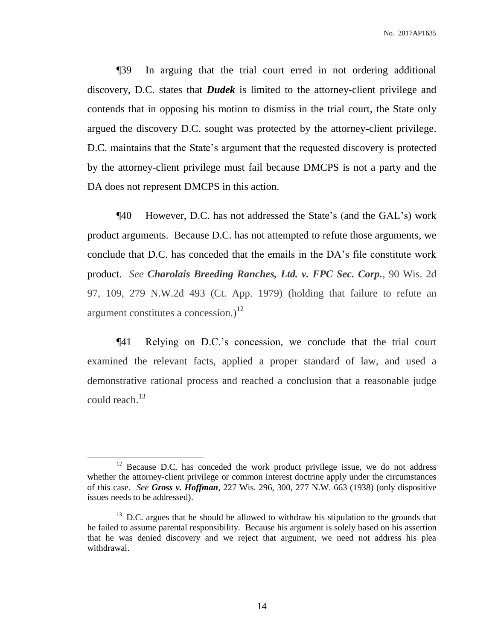¶39 In arguing that the trial court erred in not ordering additional discovery, D.C. states that *Dudek* is limited to the attorney-client privilege and contends that in opposing his motion to dismiss in the trial court, the State only argued the discovery D.C. sought was protected by the attorney-client privilege. D.C. maintains that the State's argument that the requested discovery is protected by the attorney-client privilege must fail because DMCPS is not a party and the DA does not represent DMCPS in this action.

¶40 However, D.C. has not addressed the State's (and the GAL's) work product arguments. Because D.C. has not attempted to refute those arguments, we conclude that D.C. has conceded that the emails in the DA's file constitute work product. *See Charolais Breeding Ranches, Ltd. v. FPC Sec. Corp.*, 90 Wis. 2d 97, 109, 279 N.W.2d 493 (Ct. App. 1979) (holding that failure to refute an argument constitutes a concession.) $^{12}$ 

¶41 Relying on D.C.'s concession, we conclude that the trial court examined the relevant facts, applied a proper standard of law, and used a demonstrative rational process and reached a conclusion that a reasonable judge could reach.<sup>13</sup>

 $12$  Because D.C. has conceded the work product privilege issue, we do not address whether the attorney-client privilege or common interest doctrine apply under the circumstances of this case. *See Gross v. Hoffman*, 227 Wis. 296, 300, 277 N.W. 663 (1938) (only dispositive issues needs to be addressed).

 $13$  D.C. argues that he should be allowed to withdraw his stipulation to the grounds that he failed to assume parental responsibility. Because his argument is solely based on his assertion that he was denied discovery and we reject that argument, we need not address his plea withdrawal.